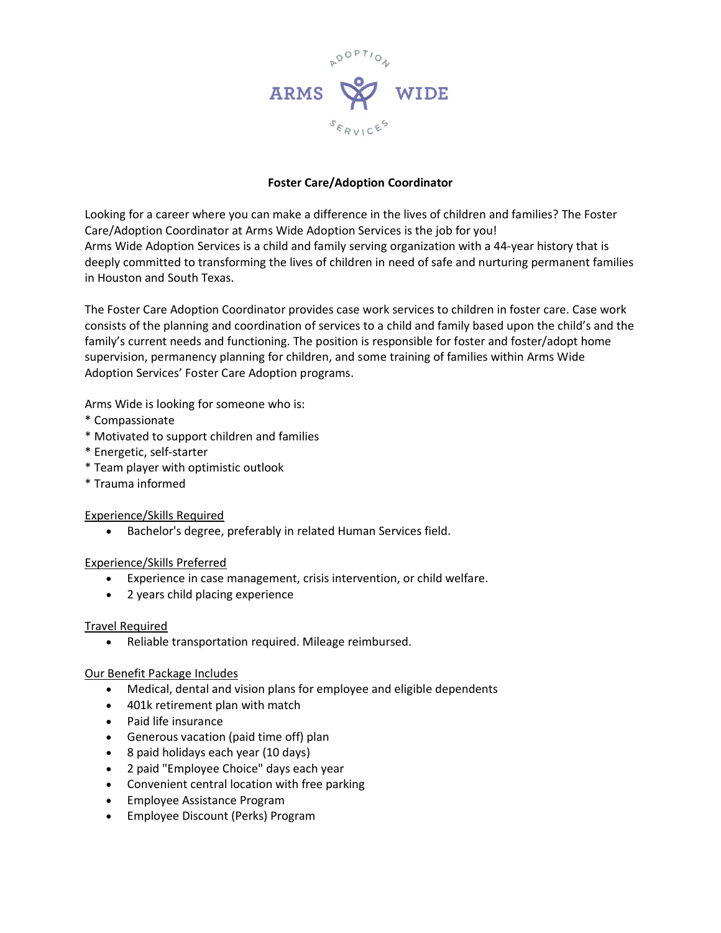

# **Foster Care/Adoption Coordinator**

Looking for a career where you can make a difference in the lives of children and families? The Foster Care/Adoption Coordinator at Arms Wide Adoption Services is the job for you! Arms Wide Adoption Services is a child and family serving organization with a 44-year history that is deeply committed to transforming the lives of children in need of safe and nurturing permanent families in Houston and South Texas.

The Foster Care Adoption Coordinator provides case work services to children in foster care. Case work consists of the planning and coordination of services to a child and family based upon the child's and the family's current needs and functioning. The position is responsible for foster and foster/adopt home supervision, permanency planning for children, and some training of families within Arms Wide Adoption Services' Foster Care Adoption programs.

Arms Wide is looking for someone who is:

- \* Compassionate
- \* Motivated to support children and families
- \* Energetic, self-starter
- \* Team player with optimistic outlook
- \* Trauma informed

### Experience/Skills Required

• Bachelor's degree, preferably in related Human Services field.

## Experience/Skills Preferred

- Experience in case management, crisis intervention, or child welfare.
- 2 years child placing experience

### Travel Required

• Reliable transportation required. Mileage reimbursed.

## Our Benefit Package Includes

- Medical, dental and vision plans for employee and eligible dependents
- 401k retirement plan with match
- Paid life insurance
- Generous vacation (paid time off) plan
- 8 paid holidays each year (10 days)
- 2 paid "Employee Choice" days each year
- Convenient central location with free parking
- Employee Assistance Program
- Employee Discount (Perks) Program